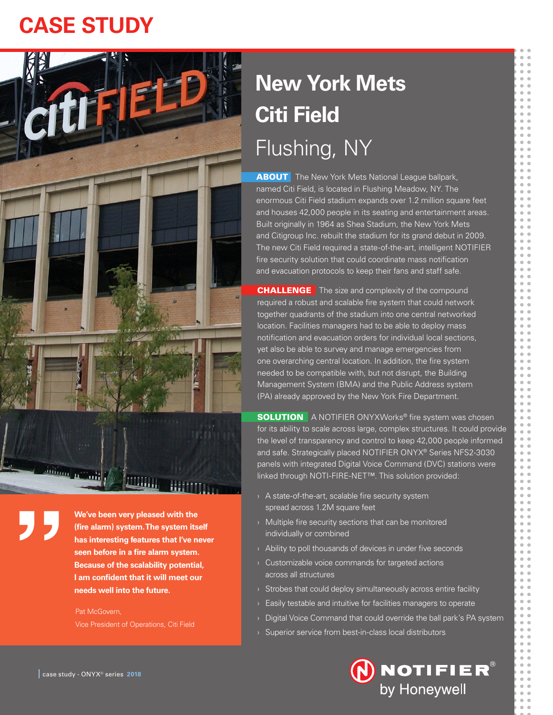# **CASE STUDY**



**ABOUT** The New York Mets National League ballpark, named Citi Field, is located in Flushing Meadow, NY. The enormous Citi Field stadium expands over 1.2 million square feet and houses 42,000 people in its seating and entertainment areas. Built originally in 1964 as Shea Stadium, the New York Mets and Citigroup Inc. rebuilt the stadium for its grand debut in 2009. The new Citi Field required a state-of-the-art, intelligent NOTIFIER fire security solution that could coordinate mass notification and evacuation protocols to keep their fans and staff safe.

**CHALLENGE** The size and complexity of the compound required a robust and scalable fire system that could network together quadrants of the stadium into one central networked location. Facilities managers had to be able to deploy mass notification and evacuation orders for individual local sections, yet also be able to survey and manage emergencies from one overarching central location. In addition, the fire system needed to be compatible with, but not disrupt, the Building Management System (BMA) and the Public Address system (PA) already approved by the New York Fire Department.

**SOLUTION** A NOTIFIER ONYXWorks<sup>®</sup> fire system was chosen for its ability to scale across large, complex structures. It could provide the level of transparency and control to keep 42,000 people informed and safe. Strategically placed NOTIFIER ONYX® Series NFS2-3030 panels with integrated Digital Voice Command (DVC) stations were linked through NOTI-FIRE-NET™. This solution provided:

- › A state-of-the-art, scalable fire security system spread across 1.2M square feet
- › Multiple fire security sections that can be monitored individually or combined
- $\rightarrow$  Ability to poll thousands of devices in under five seconds
- › Customizable voice commands for targeted actions across all structures
- $\rightarrow$  Strobes that could deploy simultaneously across entire facility
- $\rightarrow$  Easily testable and intuitive for facilities managers to operate
- › Digital Voice Command that could override the ball park's PA system
- › Superior service from best-in-class local distributors



**We've been very pleased with the (fire alarm) system. The system itself has interesting features that I've never seen before in a fire alarm system. Because of the scalability potential, I am confident that it will meet our needs well into the future.**

Pat McGovern, Vice President of Operations, Citi Field